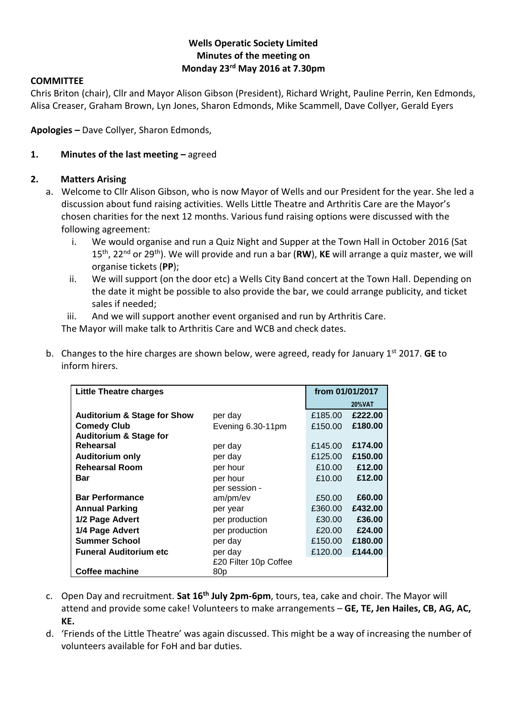### **Wells Operatic Society Limited Minutes of the meeting on Monday 23rd May 2016 at 7.30pm**

#### **COMMITTEE**

Chris Briton (chair), Cllr and Mayor Alison Gibson (President), Richard Wright, Pauline Perrin, Ken Edmonds, Alisa Creaser, Graham Brown, Lyn Jones, Sharon Edmonds, Mike Scammell, Dave Collyer, Gerald Eyers

**Apologies –** Dave Collyer, Sharon Edmonds,

#### **1. Minutes of the last meeting –** agreed

#### **2. Matters Arising**

- a. Welcome to Cllr Alison Gibson, who is now Mayor of Wells and our President for the year. She led a discussion about fund raising activities. Wells Little Theatre and Arthritis Care are the Mayor's chosen charities for the next 12 months. Various fund raising options were discussed with the following agreement:
	- i. We would organise and run a Quiz Night and Supper at the Town Hall in October 2016 (Sat 15th, 22nd or 29th). We will provide and run a bar (**RW**), **KE** will arrange a quiz master, we will organise tickets (**PP**);
	- ii. We will support (on the door etc) a Wells City Band concert at the Town Hall. Depending on the date it might be possible to also provide the bar, we could arrange publicity, and ticket sales if needed;
	- iii. And we will support another event organised and run by Arthritis Care.

The Mayor will make talk to Arthritis Care and WCB and check dates.

b. Changes to the hire charges are shown below, were agreed, ready for January 1st 2017. **GE** to inform hirers.

| Little Theatre charges                 |                       | from 01/01/2017 |               |
|----------------------------------------|-----------------------|-----------------|---------------|
|                                        |                       |                 | <b>20%VAT</b> |
| <b>Auditorium &amp; Stage for Show</b> | per day               | £185.00         | £222.00       |
| <b>Comedy Club</b>                     | Evening 6.30-11pm     | £150.00         | £180.00       |
| <b>Auditorium &amp; Stage for</b>      |                       |                 |               |
| Rehearsal                              | per day               | £145.00         | £174.00       |
| <b>Auditorium only</b>                 | per day               | £125.00         | £150.00       |
| <b>Rehearsal Room</b>                  | per hour              | £10.00          | £12.00        |
| Bar                                    | per hour              | £10.00          | £12.00        |
|                                        | per session -         |                 |               |
| <b>Bar Performance</b>                 | am/pm/ev              | £50.00          | £60.00        |
| <b>Annual Parking</b>                  | per year              | £360.00         | £432.00       |
| 1/2 Page Advert                        | per production        | £30.00          | £36.00        |
| 1/4 Page Advert                        | per production        | £20.00          | £24.00        |
| <b>Summer School</b>                   | per day               | £150.00         | £180.00       |
| <b>Funeral Auditorium etc</b>          | per day               | £120.00         | £144.00       |
|                                        | £20 Filter 10p Coffee |                 |               |
| Coffee machine                         | 80p                   |                 |               |

- c. Open Day and recruitment. **Sat 16th July 2pm-6pm**, tours, tea, cake and choir. The Mayor will attend and provide some cake! Volunteers to make arrangements – **GE, TE, Jen Hailes, CB, AG, AC, KE.**
- d. 'Friends of the Little Theatre' was again discussed. This might be a way of increasing the number of volunteers available for FoH and bar duties.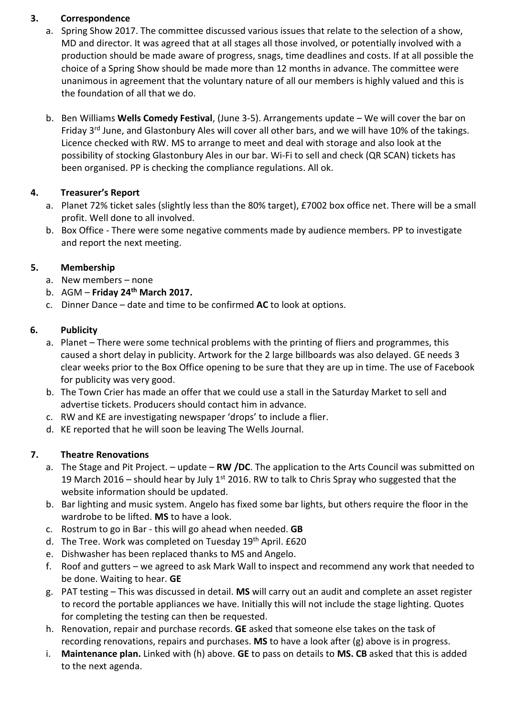### **3. Correspondence**

- a. Spring Show 2017. The committee discussed various issues that relate to the selection of a show, MD and director. It was agreed that at all stages all those involved, or potentially involved with a production should be made aware of progress, snags, time deadlines and costs. If at all possible the choice of a Spring Show should be made more than 12 months in advance. The committee were unanimous in agreement that the voluntary nature of all our members is highly valued and this is the foundation of all that we do.
- b. Ben Williams **Wells Comedy Festival**, (June 3-5). Arrangements update We will cover the bar on Friday 3<sup>rd</sup> June, and Glastonbury Ales will cover all other bars, and we will have 10% of the takings. Licence checked with RW. MS to arrange to meet and deal with storage and also look at the possibility of stocking Glastonbury Ales in our bar. Wi-Fi to sell and check (QR SCAN) tickets has been organised. PP is checking the compliance regulations. All ok.

## **4. Treasurer's Report**

- a. Planet 72% ticket sales (slightly less than the 80% target), £7002 box office net. There will be a small profit. Well done to all involved.
- b. Box Office There were some negative comments made by audience members. PP to investigate and report the next meeting.

## **5. Membership**

- a. New members none
- b. AGM **Friday 24th March 2017.**
- c. Dinner Dance date and time to be confirmed **AC** to look at options.

## **6. Publicity**

- a. Planet There were some technical problems with the printing of fliers and programmes, this caused a short delay in publicity. Artwork for the 2 large billboards was also delayed. GE needs 3 clear weeks prior to the Box Office opening to be sure that they are up in time. The use of Facebook for publicity was very good.
- b. The Town Crier has made an offer that we could use a stall in the Saturday Market to sell and advertise tickets. Producers should contact him in advance.
- c. RW and KE are investigating newspaper 'drops' to include a flier.
- d. KE reported that he will soon be leaving The Wells Journal.

# **7. Theatre Renovations**

- a. The Stage and Pit Project. update **RW /DC**. The application to the Arts Council was submitted on 19 March 2016 – should hear by July 1<sup>st</sup> 2016. RW to talk to Chris Spray who suggested that the website information should be updated.
- b. Bar lighting and music system. Angelo has fixed some bar lights, but others require the floor in the wardrobe to be lifted. **MS** to have a look.
- c. Rostrum to go in Bar this will go ahead when needed. **GB**
- d. The Tree. Work was completed on Tuesday 19<sup>th</sup> April. £620
- e. Dishwasher has been replaced thanks to MS and Angelo.
- f. Roof and gutters we agreed to ask Mark Wall to inspect and recommend any work that needed to be done. Waiting to hear. **GE**
- g. PAT testing This was discussed in detail. **MS** will carry out an audit and complete an asset register to record the portable appliances we have. Initially this will not include the stage lighting. Quotes for completing the testing can then be requested.
- h. Renovation, repair and purchase records. **GE** asked that someone else takes on the task of recording renovations, repairs and purchases. **MS** to have a look after (g) above is in progress.
- i. **Maintenance plan.** Linked with (h) above. **GE** to pass on details to **MS. CB** asked that this is added to the next agenda.